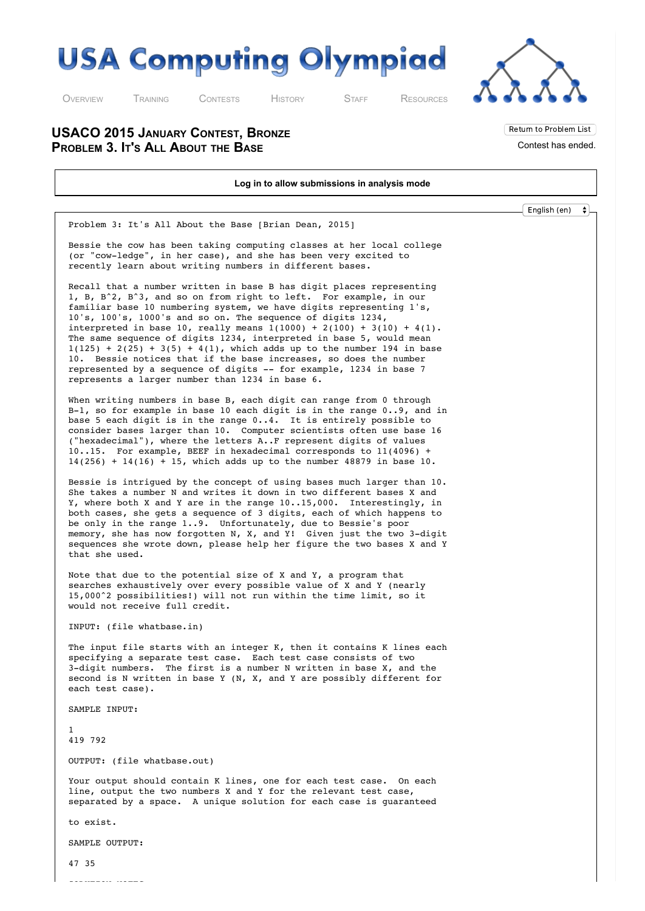



Return to Problem List Contest has ended.

O[VERVIEW](http://usaco.org/index.php) T[RAINING](http://usaco.org/index.php?page=training) C[ONTESTS](http://usaco.org/index.php?page=contests) H[ISTORY](http://usaco.org/index.php?page=history) S[TAFF](http://usaco.org/index.php?page=staff) R[ESOURCES](http://usaco.org/index.php)

**USACO 2015 JANUARY CONTEST, BRONZE PROBLEM 3. IT'S ALL ABOUT THE BASE**

**Log in to allow submissions in analysis mode** English (en) $\ddot{\bullet}$ Problem 3: It's All About the Base [Brian Dean, 2015] Bessie the cow has been taking computing classes at her local college (or "cow-ledge", in her case), and she has been very excited to recently learn about writing numbers in different bases. Recall that a number written in base B has digit places representing 1, B, B^2, B^3, and so on from right to left. For example, in our familiar base 10 numbering system, we have digits representing 1's, 10's, 100's, 1000's and so on. The sequence of digits 1234, interpreted in base 10, really means  $1(1000) + 2(100) + 3(10) + 4(1)$ . The same sequence of digits 1234, interpreted in base 5, would mean  $1(125) + 2(25) + 3(5) + 4(1)$ , which adds up to the number 194 in base 10. Bessie notices that if the base increases, so does the number represented by a sequence of digits -- for example, 1234 in base 7 represents a larger number than 1234 in base 6. When writing numbers in base B, each digit can range from 0 through B-1, so for example in base 10 each digit is in the range 0..9, and in base 5 each digit is in the range 0..4. It is entirely possible to consider bases larger than 10. Computer scientists often use base 16 ("hexadecimal"), where the letters A..F represent digits of values 10..15. For example, BEEF in hexadecimal corresponds to 11(4096) +  $14(256) + 14(16) + 15$ , which adds up to the number 48879 in base 10. Bessie is intrigued by the concept of using bases much larger than 10. She takes a number N and writes it down in two different bases X and Y, where both X and Y are in the range 10..15,000. Interestingly, in both cases, she gets a sequence of 3 digits, each of which happens to be only in the range 1..9. Unfortunately, due to Bessie's poor memory, she has now forgotten N, X, and Y! Given just the two 3-digit sequences she wrote down, please help her figure the two bases X and Y that she used. Note that due to the potential size of X and Y, a program that searches exhaustively over every possible value of X and Y (nearly 15,000^2 possibilities!) will not run within the time limit, so it would not receive full credit. INPUT: (file whatbase.in) The input file starts with an integer K, then it contains K lines each specifying a separate test case. Each test case consists of two 3-digit numbers. The first is a number N written in base X, and the second is N written in base Y (N, X, and Y are possibly different for each test case). SAMPLE INPUT: 1 419 792 OUTPUT: (file whatbase.out) Your output should contain K lines, one for each test case. On each line, output the two numbers X and Y for the relevant test case, separated by a space. A unique solution for each case is guaranteed to exist. SAMPLE OUTPUT: 47 35